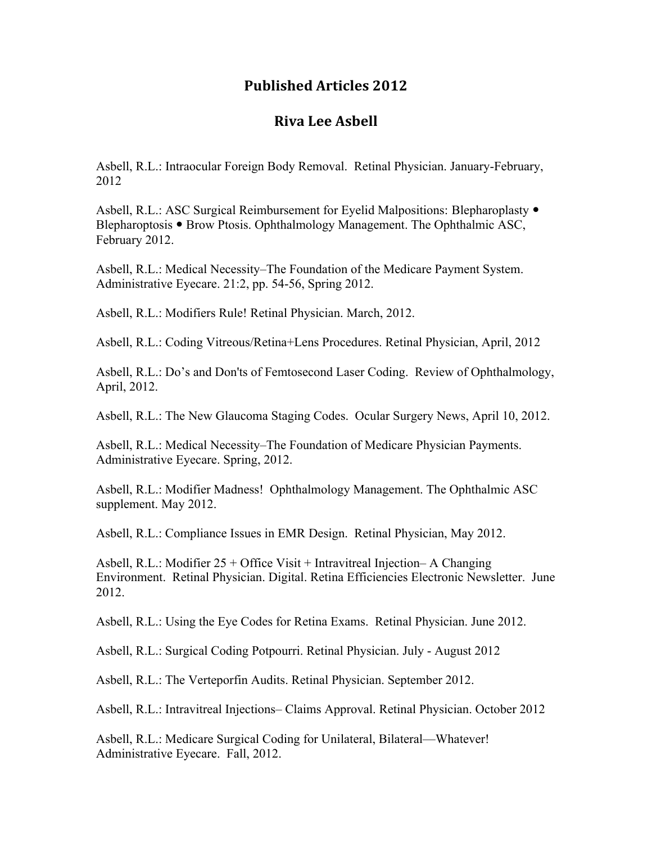## **Published Articles 2012**

## **Riva Lee Asbell**

Asbell, R.L.: Intraocular Foreign Body Removal. Retinal Physician. January-February, 2012

Asbell, R.L.: ASC Surgical Reimbursement for Eyelid Malpositions: Blepharoplasty  $\bullet$ Blepharoptosis • Brow Ptosis. Ophthalmology Management. The Ophthalmic ASC, February 2012.

Asbell, R.L.: Medical Necessity–The Foundation of the Medicare Payment System. Administrative Eyecare. 21:2, pp. 54-56, Spring 2012.

Asbell, R.L.: Modifiers Rule! Retinal Physician. March, 2012.

Asbell, R.L.: Coding Vitreous/Retina+Lens Procedures. Retinal Physician, April, 2012

Asbell, R.L.: Do's and Don'ts of Femtosecond Laser Coding. Review of Ophthalmology, April, 2012.

Asbell, R.L.: The New Glaucoma Staging Codes. Ocular Surgery News, April 10, 2012.

Asbell, R.L.: Medical Necessity–The Foundation of Medicare Physician Payments. Administrative Eyecare. Spring, 2012.

Asbell, R.L.: Modifier Madness! Ophthalmology Management. The Ophthalmic ASC supplement. May 2012.

Asbell, R.L.: Compliance Issues in EMR Design. Retinal Physician, May 2012.

Asbell, R.L.: Modifier 25 + Office Visit + Intravitreal Injection– A Changing Environment. Retinal Physician. Digital. Retina Efficiencies Electronic Newsletter. June 2012.

Asbell, R.L.: Using the Eye Codes for Retina Exams. Retinal Physician. June 2012.

Asbell, R.L.: Surgical Coding Potpourri. Retinal Physician. July - August 2012

Asbell, R.L.: The Verteporfin Audits. Retinal Physician. September 2012.

Asbell, R.L.: Intravitreal Injections– Claims Approval. Retinal Physician. October 2012

Asbell, R.L.: Medicare Surgical Coding for Unilateral, Bilateral—Whatever! Administrative Eyecare. Fall, 2012.